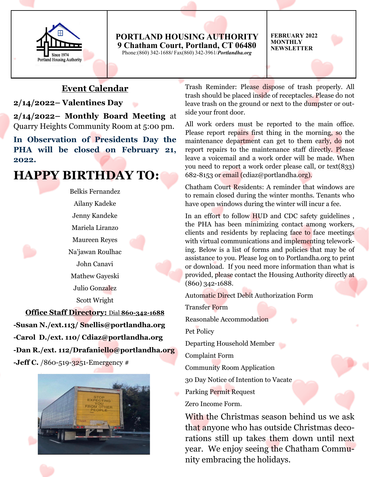

#### **PORTLAND HOUSING AUTHORITY 9 Chatham Court, Portland, CT 06480** Phone:(860) 342-1688**/** Fax(860) 342-3961/*Portlandha.org*

**FEBRUARY 2022 MONTHLY NEWSLETTER**

## **Event Calendar**

#### **2/14/2022– Valentines Day**

**2/14/2022– Monthly Board Meeting** at Quarry Heights Community Room at 5:00 pm.

**In Observation of Presidents Day the PHA will be closed on February 21, 2022.**

## **HAPPY BIRTHDAY TO:**

Belkis Fernandez Ailany Kadeke Jenny Kandeke Mariela Liranzo Maureen Reyes Na'jawan Roulhac John Canavi Mathew Gayeski Julio Gonzalez Scott Wright

**Office Staff Directory:** Dial **860-342-1688 -Susan N./ext.113/ Snellis@portlandha.org -Carol D./ext. 110/ Cdiaz@portlandha.org -Dan R./ext. 112/Drafaniello@portlandha.org -Jeff C.** /860-519-3251-Emergency #



Trash Reminder: Please dispose of trash properly. All trash should be placed inside of receptacles. Please do not leave trash on the ground or next to the dumpster or outside your front door.

All work orders must be reported to the main office. Please report repairs first thing in the morning, so the maintenance department can get to them early, do not report repairs to the maintenance staff directly. Please leave a voicemail and a work order will be made. When you need to report a work order please call, 0r text(833) 682-8153 or email (cdiaz@portlandha.org).

Chatham Court Residents: A reminder that windows are to remain closed during the winter months. Tenants who have open windows during the winter will incur a fee.

In an effort to follow HUD and CDC safety guidelines , the PHA has been minimizing contact among workers, clients and residents by replacing face to face meetings with virtual communications and implementing teleworking. Below is a list of forms and policies that may be of assistance to you. Please log on to Portlandha.org to print or download. If you need more information than what is provided, please contact the Housing Authority directly at (860) 342-1688.

Automatic Direct Debit Authorization Form

Transfer Form

Reasonable Accommodation

Pet Policy

Departing Household Member

Complaint Form

Community Room Application

30 Day Notice of Intention to Vacate

Parking Permit Request

Zero Income Form.

With the Christmas season behind us we ask that anyone who has outside Christmas decorations still up takes them down until next year. We enjoy seeing the Chatham Community embracing the holidays.